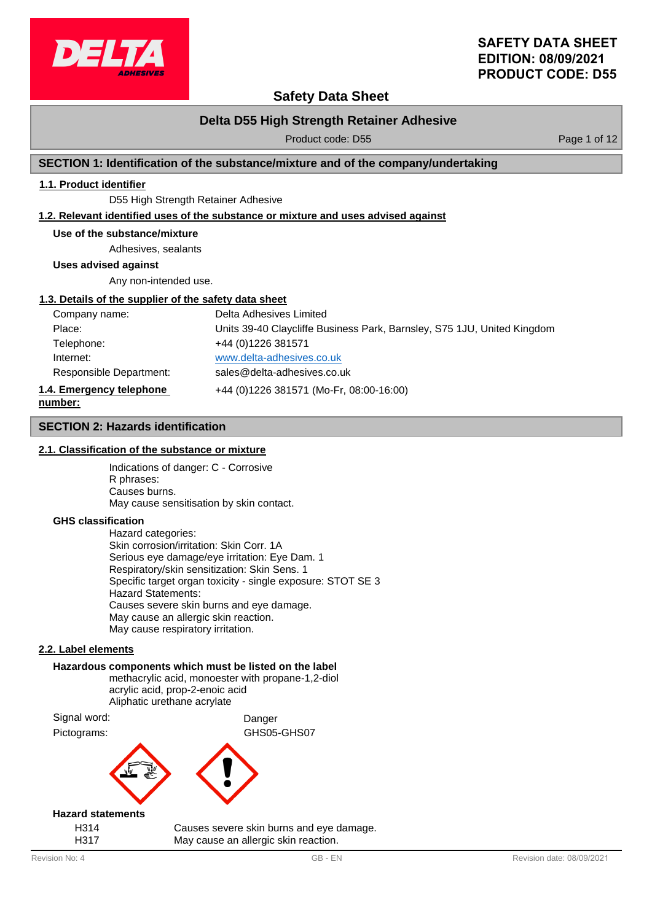

## **Safety Data Sheet**

## **Delta D55 High Strength Retainer Adhesive**

Product code: D55 Product code: D55

### **SECTION 1: Identification of the substance/mixture and of the company/undertaking**

### **1.1. Product identifier**

D55 High Strength Retainer Adhesive

#### **1.2. Relevant identified uses of the substance or mixture and uses advised against**

#### **Use of the substance/mixture**

Adhesives, sealants

**Uses advised against**

Any non-intended use.

#### **1.3. Details of the supplier of the safety data sheet**

| Company name:                       | Delta Adhesives Limited                                                 |
|-------------------------------------|-------------------------------------------------------------------------|
| Place:                              | Units 39-40 Claycliffe Business Park, Barnsley, S75 1JU, United Kingdom |
| Telephone:                          | +44 (0) 1226 381571                                                     |
| Internet:                           | www.delta-adhesives.co.uk                                               |
| Responsible Department:             | sales@delta-adhesives.co.uk                                             |
| 1.4. Emergency telephone<br>number: | +44 (0)1226 381571 (Mo-Fr, 08:00-16:00)                                 |

#### **SECTION 2: Hazards identification**

#### **2.1. Classification of the substance or mixture**

Indications of danger: C - Corrosive R phrases: Causes burns. May cause sensitisation by skin contact.

#### **GHS classification**

Hazard categories: Skin corrosion/irritation: Skin Corr. 1A Serious eye damage/eye irritation: Eye Dam. 1 Respiratory/skin sensitization: Skin Sens. 1 Specific target organ toxicity - single exposure: STOT SE 3 Hazard Statements: Causes severe skin burns and eye damage. May cause an allergic skin reaction. May cause respiratory irritation.

#### **2.2. Label elements**

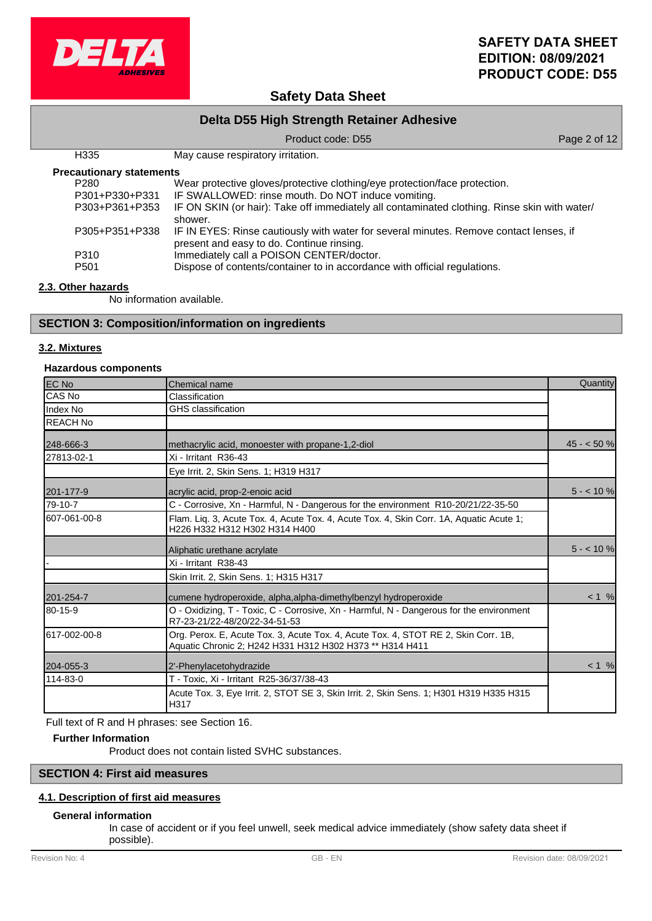

## **Safety Data Sheet**

| Delta D55 High Strength Retainer Adhesive |                                                                                                                                     |              |  |
|-------------------------------------------|-------------------------------------------------------------------------------------------------------------------------------------|--------------|--|
|                                           | Product code: D55                                                                                                                   | Page 2 of 12 |  |
| H335                                      | May cause respiratory irritation.                                                                                                   |              |  |
| <b>Precautionary statements</b>           |                                                                                                                                     |              |  |
| P <sub>280</sub>                          | Wear protective gloves/protective clothing/eye protection/face protection.                                                          |              |  |
| P301+P330+P331                            | IF SWALLOWED: rinse mouth. Do NOT induce vomiting.                                                                                  |              |  |
| P303+P361+P353                            | IF ON SKIN (or hair): Take off immediately all contaminated clothing. Rinse skin with water/<br>shower.                             |              |  |
| P305+P351+P338                            | IF IN EYES: Rinse cautiously with water for several minutes. Remove contact lenses, if<br>present and easy to do. Continue rinsing. |              |  |
| P310                                      | Immediately call a POISON CENTER/doctor.                                                                                            |              |  |
| P <sub>501</sub>                          | Dispose of contents/container to in accordance with official regulations.                                                           |              |  |

### **2.3. Other hazards**

No information available.

### **SECTION 3: Composition/information on ingredients**

#### **3.2. Mixtures**

### **Hazardous components**

| <b>EC No</b>    | Chemical name                                                                                                                                  | Quantity    |
|-----------------|------------------------------------------------------------------------------------------------------------------------------------------------|-------------|
| CAS No          | Classification                                                                                                                                 |             |
| Index No        | <b>GHS</b> classification                                                                                                                      |             |
| <b>REACH No</b> |                                                                                                                                                |             |
| 248-666-3       | methacrylic acid, monoester with propane-1,2-diol                                                                                              | $45 - 50$ % |
| 27813-02-1      | Xi - Irritant R36-43                                                                                                                           |             |
|                 | Eye Irrit. 2, Skin Sens. 1; H319 H317                                                                                                          |             |
| 201-177-9       | acrylic acid, prop-2-enoic acid                                                                                                                | $5 - 10%$   |
| 79-10-7         | C - Corrosive, Xn - Harmful, N - Dangerous for the environment R10-20/21/22-35-50                                                              |             |
| 607-061-00-8    | Flam. Liq. 3, Acute Tox. 4, Acute Tox. 4, Acute Tox. 4, Skin Corr. 1A, Aquatic Acute 1;<br>H226 H332 H312 H302 H314 H400                       |             |
|                 | Aliphatic urethane acrylate                                                                                                                    | $5 - 10$ %  |
|                 | Xi - Irritant R38-43                                                                                                                           |             |
|                 | Skin Irrit. 2, Skin Sens. 1; H315 H317                                                                                                         |             |
| 201-254-7       | cumene hydroperoxide, alpha, alpha-dimethylbenzyl hydroperoxide                                                                                | $< 1$ %     |
| 80-15-9         | O - Oxidizing, T - Toxic, C - Corrosive, Xn - Harmful, N - Dangerous for the environment<br>R7-23-21/22-48/20/22-34-51-53                      |             |
| 617-002-00-8    | Org. Perox. E, Acute Tox. 3, Acute Tox. 4, Acute Tox. 4, STOT RE 2, Skin Corr. 1B,<br>Aquatic Chronic 2; H242 H331 H312 H302 H373 ** H314 H411 |             |
| 204-055-3       | 2'-Phenylacetohydrazide                                                                                                                        | $< 1 \%$    |
| 114-83-0        | T - Toxic, Xi - Irritant R25-36/37/38-43                                                                                                       |             |
|                 | Acute Tox. 3, Eye Irrit. 2, STOT SE 3, Skin Irrit. 2, Skin Sens. 1; H301 H319 H335 H315<br>H317                                                |             |

Full text of R and H phrases: see Section 16.

### **Further Information**

Product does not contain listed SVHC substances.

### **SECTION 4: First aid measures**

### **4.1. Description of first aid measures**

### **General information**

In case of accident or if you feel unwell, seek medical advice immediately (show safety data sheet if possible).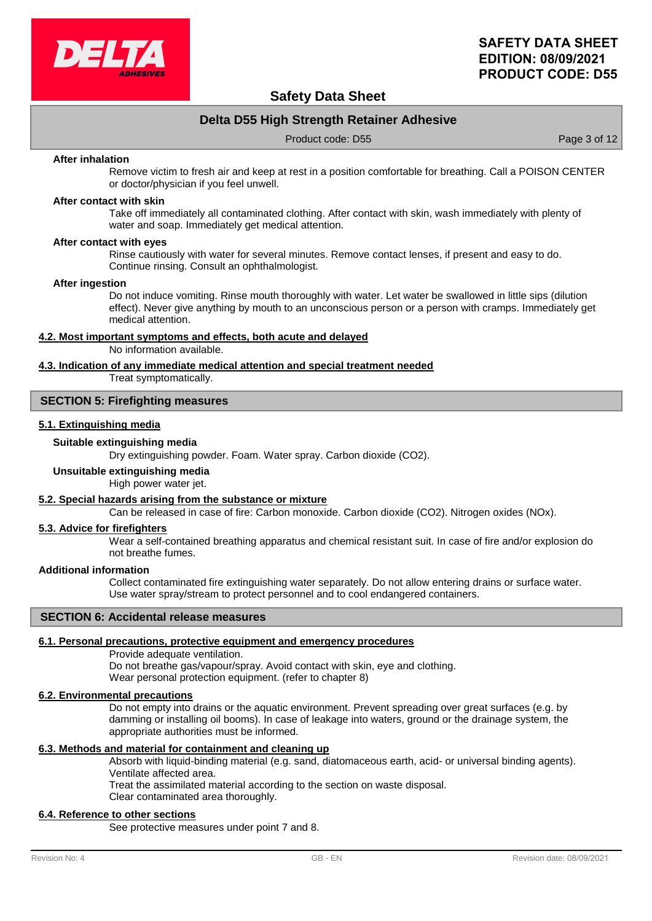

## **Safety Data Sheet**

## **Delta D55 High Strength Retainer Adhesive**

Product code: D55 Product code: D55

#### **After inhalation**

Remove victim to fresh air and keep at rest in a position comfortable for breathing. Call a POISON CENTER or doctor/physician if you feel unwell.

#### **After contact with skin**

Take off immediately all contaminated clothing. After contact with skin, wash immediately with plenty of water and soap. Immediately get medical attention.

#### **After contact with eyes**

Rinse cautiously with water for several minutes. Remove contact lenses, if present and easy to do. Continue rinsing. Consult an ophthalmologist.

#### **After ingestion**

Do not induce vomiting. Rinse mouth thoroughly with water. Let water be swallowed in little sips (dilution effect). Never give anything by mouth to an unconscious person or a person with cramps. Immediately get medical attention.

#### **4.2. Most important symptoms and effects, both acute and delayed**

No information available.

### **4.3. Indication of any immediate medical attention and special treatment needed**

Treat symptomatically.

### **SECTION 5: Firefighting measures**

### **5.1. Extinguishing media**

#### **Suitable extinguishing media**

Dry extinguishing powder. Foam. Water spray. Carbon dioxide (CO2).

#### **Unsuitable extinguishing media**

High power water jet.

#### **5.2. Special hazards arising from the substance or mixture**

Can be released in case of fire: Carbon monoxide. Carbon dioxide (CO2). Nitrogen oxides (NOx).

### **5.3. Advice for firefighters**

Wear a self-contained breathing apparatus and chemical resistant suit. In case of fire and/or explosion do not breathe fumes.

#### **Additional information**

Collect contaminated fire extinguishing water separately. Do not allow entering drains or surface water. Use water spray/stream to protect personnel and to cool endangered containers.

### **SECTION 6: Accidental release measures**

### **6.1. Personal precautions, protective equipment and emergency procedures**

Provide adequate ventilation.

Do not breathe gas/vapour/spray. Avoid contact with skin, eye and clothing. Wear personal protection equipment. (refer to chapter 8)

### **6.2. Environmental precautions**

Do not empty into drains or the aquatic environment. Prevent spreading over great surfaces (e.g. by damming or installing oil booms). In case of leakage into waters, ground or the drainage system, the appropriate authorities must be informed.

### **6.3. Methods and material for containment and cleaning up**

Absorb with liquid-binding material (e.g. sand, diatomaceous earth, acid- or universal binding agents). Ventilate affected area.

Treat the assimilated material according to the section on waste disposal.

Clear contaminated area thoroughly.

## **6.4. Reference to other sections**

See protective measures under point 7 and 8.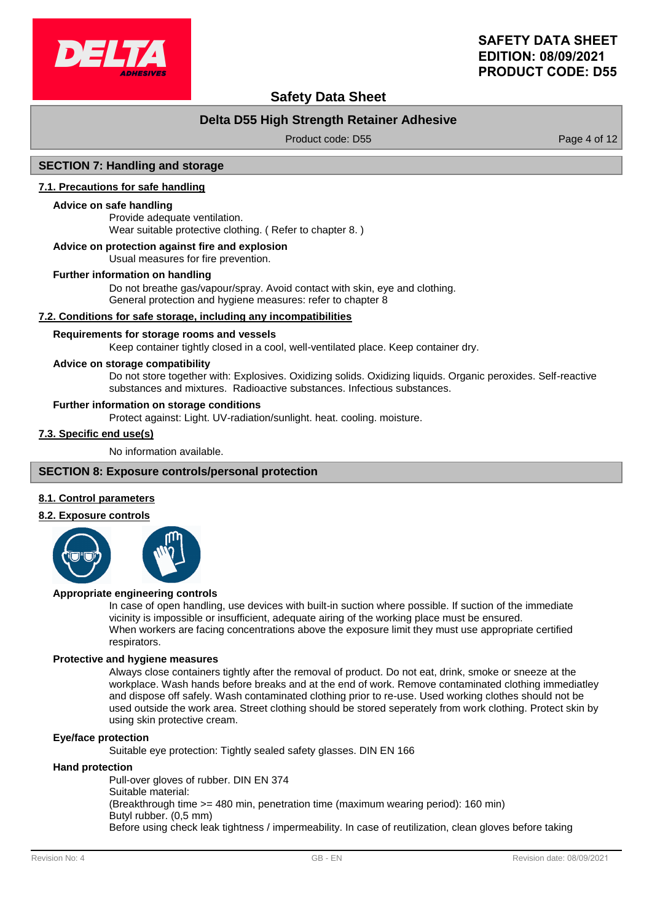

## **Safety Data Sheet**

## **Delta D55 High Strength Retainer Adhesive**

Product code: D55 Product code: D55

### **SECTION 7: Handling and storage**

#### **7.1. Precautions for safe handling**

#### **Advice on safe handling**

Provide adequate ventilation. Wear suitable protective clothing. ( Refer to chapter 8. )

#### **Advice on protection against fire and explosion**

Usual measures for fire prevention.

#### **Further information on handling**

Do not breathe gas/vapour/spray. Avoid contact with skin, eye and clothing. General protection and hygiene measures: refer to chapter 8

#### **7.2. Conditions for safe storage, including any incompatibilities**

#### **Requirements for storage rooms and vessels**

Keep container tightly closed in a cool, well-ventilated place. Keep container dry.

#### **Advice on storage compatibility**

Do not store together with: Explosives. Oxidizing solids. Oxidizing liquids. Organic peroxides. Self-reactive substances and mixtures. Radioactive substances. Infectious substances.

#### **Further information on storage conditions**

Protect against: Light. UV-radiation/sunlight. heat. cooling. moisture.

### **7.3. Specific end use(s)**

No information available.

### **SECTION 8: Exposure controls/personal protection**

#### **8.1. Control parameters**

#### **8.2. Exposure controls**



#### **Appropriate engineering controls**

In case of open handling, use devices with built-in suction where possible. If suction of the immediate vicinity is impossible or insufficient, adequate airing of the working place must be ensured. When workers are facing concentrations above the exposure limit they must use appropriate certified respirators.

#### **Protective and hygiene measures**

Always close containers tightly after the removal of product. Do not eat, drink, smoke or sneeze at the workplace. Wash hands before breaks and at the end of work. Remove contaminated clothing immediatley and dispose off safely. Wash contaminated clothing prior to re-use. Used working clothes should not be used outside the work area. Street clothing should be stored seperately from work clothing. Protect skin by using skin protective cream.

### **Eye/face protection**

Suitable eye protection: Tightly sealed safety glasses. DIN EN 166

#### **Hand protection**

Pull-over gloves of rubber. DIN EN 374 Suitable material: (Breakthrough time >= 480 min, penetration time (maximum wearing period): 160 min) Butyl rubber. (0,5 mm) Before using check leak tightness / impermeability. In case of reutilization, clean gloves before taking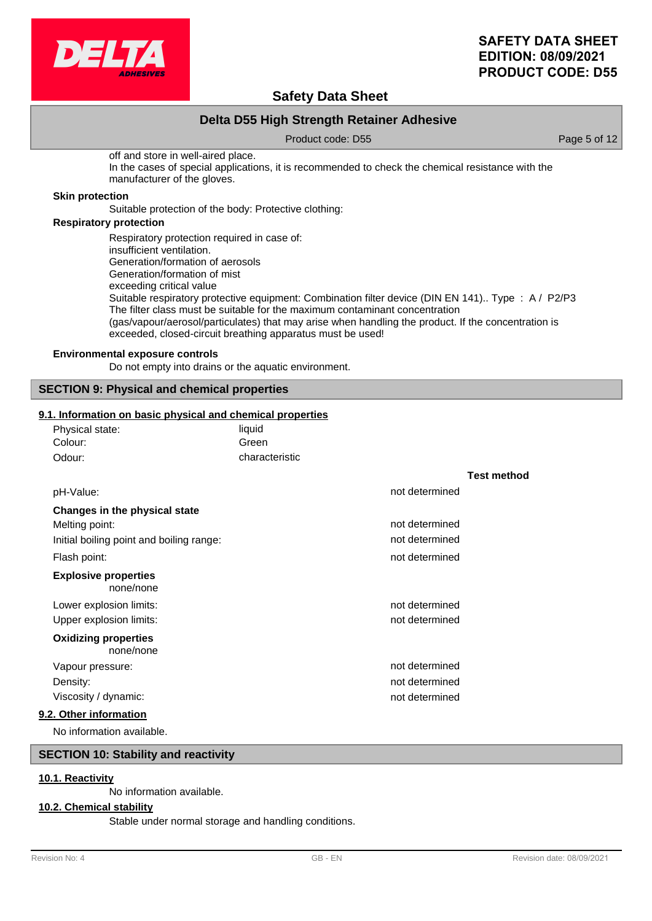

## **Safety Data Sheet**

## **Delta D55 High Strength Retainer Adhesive**

Product code: D55 Product code: D55

off and store in well-aired place. In the cases of special applications, it is recommended to check the chemical resistance with the manufacturer of the gloves.

### **Skin protection**

Suitable protection of the body: Protective clothing:

### **Respiratory protection**

Respiratory protection required in case of: insufficient ventilation. Generation/formation of aerosols Generation/formation of mist exceeding critical value Suitable respiratory protective equipment: Combination filter device (DIN EN 141).. Type : A / P2/P3 The filter class must be suitable for the maximum contaminant concentration (gas/vapour/aerosol/particulates) that may arise when handling the product. If the concentration is exceeded, closed-circuit breathing apparatus must be used!

### **Environmental exposure controls**

Do not empty into drains or the aquatic environment.

### **SECTION 9: Physical and chemical properties**

#### **9.1. Information on basic physical and chemical properties**

| Physical state:                          | liquid         |                |                    |
|------------------------------------------|----------------|----------------|--------------------|
| Colour:                                  | Green          |                |                    |
| Odour:                                   | characteristic |                |                    |
|                                          |                |                | <b>Test method</b> |
| pH-Value:                                |                | not determined |                    |
| Changes in the physical state            |                |                |                    |
| Melting point:                           |                | not determined |                    |
| Initial boiling point and boiling range: |                | not determined |                    |
| Flash point:                             |                | not determined |                    |
| <b>Explosive properties</b><br>none/none |                |                |                    |
| Lower explosion limits:                  |                | not determined |                    |
| Upper explosion limits:                  |                | not determined |                    |
| <b>Oxidizing properties</b><br>none/none |                |                |                    |
| Vapour pressure:                         |                | not determined |                    |
| Density:                                 |                | not determined |                    |
| Viscosity / dynamic:                     |                | not determined |                    |
| 9.2. Other information                   |                |                |                    |
|                                          |                |                |                    |

No information available.

### **SECTION 10: Stability and reactivity**

### **10.1. Reactivity**

No information available.

#### **10.2. Chemical stability**

Stable under normal storage and handling conditions.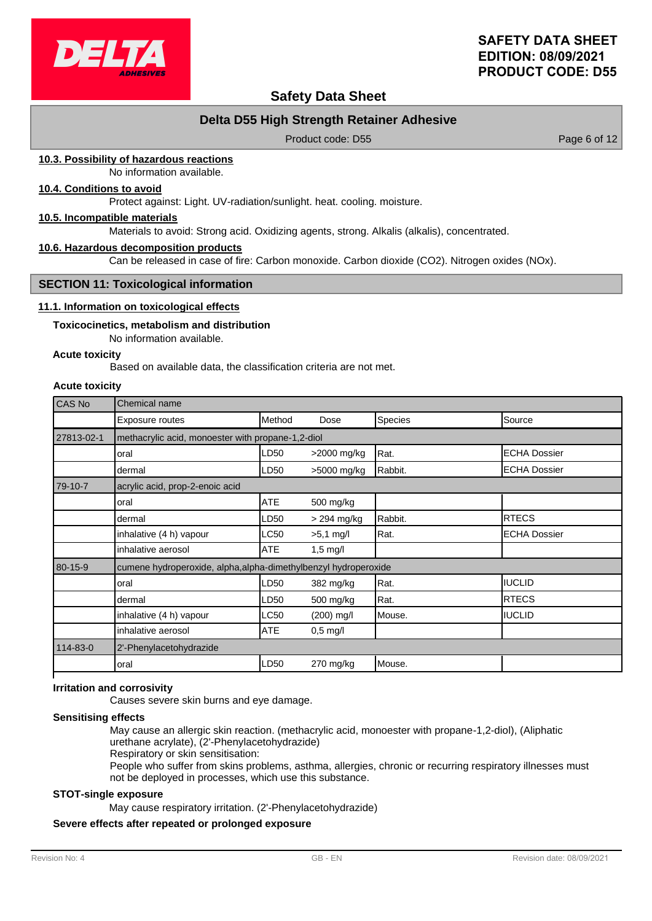

## **Safety Data Sheet**

## **Delta D55 High Strength Retainer Adhesive**

Product code: D55 Product code: D55

### **10.3. Possibility of hazardous reactions**

No information available.

### **10.4. Conditions to avoid**

Protect against: Light. UV-radiation/sunlight. heat. cooling. moisture.

#### **10.5. Incompatible materials**

Materials to avoid: Strong acid. Oxidizing agents, strong. Alkalis (alkalis), concentrated.

#### **10.6. Hazardous decomposition products**

Can be released in case of fire: Carbon monoxide. Carbon dioxide (CO2). Nitrogen oxides (NOx).

#### **SECTION 11: Toxicological information**

#### **11.1. Information on toxicological effects**

#### **Toxicocinetics, metabolism and distribution**

No information available.

### **Acute toxicity**

Based on available data, the classification criteria are not met.

#### **Acute toxicity**

| CAS No     | Chemical name                                                   |            |                    |         |                     |
|------------|-----------------------------------------------------------------|------------|--------------------|---------|---------------------|
|            | Exposure routes                                                 | Method     | Dose               | Species | Source              |
| 27813-02-1 | methacrylic acid, monoester with propane-1,2-diol               |            |                    |         |                     |
|            | oral                                                            | LD50       | >2000 mg/kg        | Rat.    | <b>ECHA Dossier</b> |
|            | dermal                                                          | LD50       | >5000 mg/kg        | Rabbit. | <b>ECHA Dossier</b> |
| 79-10-7    | acrylic acid, prop-2-enoic acid                                 |            |                    |         |                     |
|            | oral                                                            | ATE        | 500 mg/kg          |         |                     |
|            | dermal                                                          | LD50       | > 294 mg/kg        | Rabbit. | <b>IRTECS</b>       |
|            | inhalative (4 h) vapour                                         | LC50       | $>5.1$ mg/l        | Rat.    | IECHA Dossier       |
|            | inhalative aerosol                                              | <b>ATE</b> | $1,5 \text{ mg/l}$ |         |                     |
| 80-15-9    | cumene hydroperoxide, alpha, alpha-dimethylbenzyl hydroperoxide |            |                    |         |                     |
|            | oral                                                            | LD50       | 382 mg/kg          | Rat.    | IUCLID              |
|            | dermal                                                          | LD50       | 500 mg/kg          | Rat.    | <b>RTECS</b>        |
|            | inhalative (4 h) vapour                                         | LC50       | $(200)$ mg/l       | Mouse.  | <b>IUCLID</b>       |
|            | inhalative aerosol                                              | <b>ATE</b> | $0,5 \text{ mg/l}$ |         |                     |
| 114-83-0   | 2'-Phenylacetohydrazide                                         |            |                    |         |                     |
|            | oral                                                            | LD50       | 270 mg/kg          | Mouse.  |                     |

### **Irritation and corrosivity**

Causes severe skin burns and eye damage.

#### **Sensitising effects**

May cause an allergic skin reaction. (methacrylic acid, monoester with propane-1,2-diol), (Aliphatic urethane acrylate), (2'-Phenylacetohydrazide)

Respiratory or skin sensitisation:

People who suffer from skins problems, asthma, allergies, chronic or recurring respiratory illnesses must not be deployed in processes, which use this substance.

#### **STOT-single exposure**

May cause respiratory irritation. (2'-Phenylacetohydrazide)

### **Severe effects after repeated or prolonged exposure**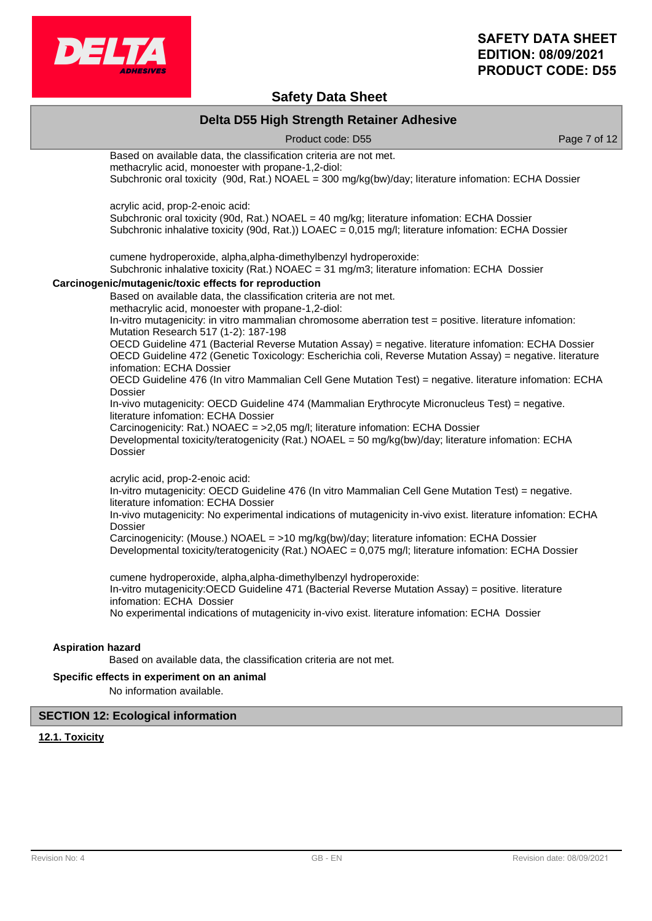

## **Safety Data Sheet**

|                          | Delta D55 High Strength Retainer Adhesive                                                                                                                                                                                                     |              |
|--------------------------|-----------------------------------------------------------------------------------------------------------------------------------------------------------------------------------------------------------------------------------------------|--------------|
|                          | Product code: D55                                                                                                                                                                                                                             | Page 7 of 12 |
|                          | Based on available data, the classification criteria are not met.<br>methacrylic acid, monoester with propane-1,2-diol:<br>Subchronic oral toxicity (90d, Rat.) NOAEL = 300 mg/kg(bw)/day; literature infomation: ECHA Dossier                |              |
|                          | acrylic acid, prop-2-enoic acid:<br>Subchronic oral toxicity (90d, Rat.) NOAEL = 40 mg/kg; literature infomation: ECHA Dossier<br>Subchronic inhalative toxicity (90d, Rat.)) LOAEC = 0,015 mg/l; literature infomation: ECHA Dossier         |              |
|                          | cumene hydroperoxide, alpha, alpha-dimethylbenzyl hydroperoxide:<br>Subchronic inhalative toxicity (Rat.) NOAEC = 31 mg/m3; literature infomation: ECHA Dossier                                                                               |              |
|                          | Carcinogenic/mutagenic/toxic effects for reproduction                                                                                                                                                                                         |              |
|                          | Based on available data, the classification criteria are not met.<br>methacrylic acid, monoester with propane-1,2-diol:                                                                                                                       |              |
|                          | In-vitro mutagenicity: in vitro mammalian chromosome aberration test = positive. Iiterature infomation:<br>Mutation Research 517 (1-2): 187-198                                                                                               |              |
|                          | OECD Guideline 471 (Bacterial Reverse Mutation Assay) = negative. literature infomation: ECHA Dossier<br>OECD Guideline 472 (Genetic Toxicology: Escherichia coli, Reverse Mutation Assay) = negative. literature<br>infomation: ECHA Dossier |              |
|                          | OECD Guideline 476 (In vitro Mammalian Cell Gene Mutation Test) = negative. literature infomation: ECHA<br><b>Dossier</b>                                                                                                                     |              |
|                          | In-vivo mutagenicity: OECD Guideline 474 (Mammalian Erythrocyte Micronucleus Test) = negative.<br>literature infomation: ECHA Dossier                                                                                                         |              |
|                          | Carcinogenicity: Rat.) NOAEC = >2,05 mg/l; literature infomation: ECHA Dossier<br>Developmental toxicity/teratogenicity (Rat.) NOAEL = 50 mg/kg(bw)/day; literature infomation: ECHA<br><b>Dossier</b>                                        |              |
|                          | acrylic acid, prop-2-enoic acid:                                                                                                                                                                                                              |              |
|                          | In-vitro mutagenicity: OECD Guideline 476 (In vitro Mammalian Cell Gene Mutation Test) = negative.<br>literature infomation: ECHA Dossier                                                                                                     |              |
|                          | In-vivo mutagenicity: No experimental indications of mutagenicity in-vivo exist. literature infomation: ECHA<br>Dossier                                                                                                                       |              |
|                          | Carcinogenicity: (Mouse.) NOAEL = >10 mg/kg(bw)/day; literature infomation: ECHA Dossier<br>Developmental toxicity/teratogenicity (Rat.) NOAEC = 0,075 mg/l; literature infomation: ECHA Dossier                                              |              |
|                          | cumene hydroperoxide, alpha, alpha-dimethylbenzyl hydroperoxide:<br>In-vitro mutagenicity: OECD Guideline 471 (Bacterial Reverse Mutation Assay) = positive. literature<br>infomation: ECHA Dossier                                           |              |
|                          | No experimental indications of mutagenicity in-vivo exist. literature infomation: ECHA Dossier                                                                                                                                                |              |
| <b>Aspiration hazard</b> |                                                                                                                                                                                                                                               |              |
|                          | Based on available data, the classification criteria are not met.                                                                                                                                                                             |              |
|                          | Specific effects in experiment on an animal                                                                                                                                                                                                   |              |

No information available.

## **SECTION 12: Ecological information**

## **12.1. Toxicity**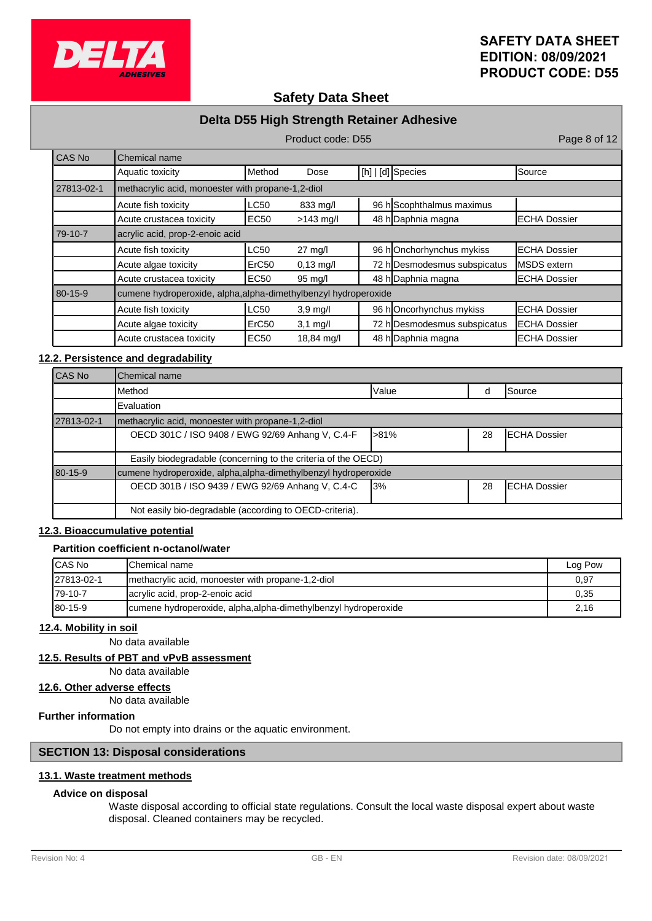

## **Safety Data Sheet**

## **Delta D55 High Strength Retainer Adhesive**

Product code: D55 Product code: D55 CAS No **Chemical name** Aquatic toxicity **Alteriative Method** Dose  $[h][b][d]$  Species Source 27813-02-1 methacrylic acid, monoester with propane-1,2-diol Acute fish toxicity  $\begin{vmatrix} \text{LCS0} & 833 \text{ mg/} \end{vmatrix}$  96 h Scophthalmus maximus Acute crustacea toxicity | EC50 >143 mg/l | 48 h Daphnia magna | ECHA Dossier 79-10-7 acrylic acid, prop-2-enoic acid Acute fish toxicity **LC50** 27 mg/l 96 h Onchorhynchus mykiss ECHA Dossier Acute algae toxicity  $\begin{array}{ccc} \text{ErC50} & 0.13 \text{ mg/l} & 72 \text{ h} \text{Desmodesmus subspicatus} & \text{MSDS extern} \end{array}$ Acute crustacea toxicity | EC50 95 mg/l | 48 h Daphnia magna | ECHA Dossier 80-15-9 cumene hydroperoxide, alpha,alpha-dimethylbenzyl hydroperoxide Acute fish toxicity **LC50** 3,9 mg/l 96 h Oncorhynchus mykiss ECHA Dossier Acute algae toxicity  $\begin{vmatrix} \text{ErC50} & 3.1 \text{ mg/l} & 72 \text{ h} \end{vmatrix}$  Desmodesmus subspicatus ECHA Dossier Acute crustacea toxicity | EC50 18,84 mg/l | 48 h Daphnia magna | ECHA Dossier

### **12.2. Persistence and degradability**

| <b>CAS No</b> | <b>I</b> Chemical name                                          |              |    |                      |
|---------------|-----------------------------------------------------------------|--------------|----|----------------------|
|               | IMethod                                                         | <b>Value</b> |    | Source               |
|               | <b>Evaluation</b>                                               |              |    |                      |
| 27813-02-1    | Imethacrylic acid, monoester with propane-1,2-diol              |              |    |                      |
|               | OECD 301C / ISO 9408 / EWG 92/69 Anhang V, C.4-F                | -81%         | 28 | <b>ECHA Dossier</b>  |
|               | Easily biodegradable (concerning to the criteria of the OECD)   |              |    |                      |
| 80-15-9       | cumene hydroperoxide, alpha, alpha-dimethylbenzyl hydroperoxide |              |    |                      |
|               | OECD 301B / ISO 9439 / EWG 92/69 Anhang V, C.4-C                | <b>3%</b>    | 28 | <b>IECHA Dossier</b> |
|               | Not easily bio-degradable (according to OECD-criteria).         |              |    |                      |

### **12.3. Bioaccumulative potential**

### **Partition coefficient n-octanol/water**

| <b>ICAS No</b> | <b>IChemical name</b>                                           | Log Pow |
|----------------|-----------------------------------------------------------------|---------|
| 27813-02-1     | Imethacrylic acid, monoester with propane-1,2-diol              | 0.97    |
| 179-10-7       | acrylic acid, prop-2-enoic acid                                 | 0.35    |
| $180 - 15 - 9$ | cumene hydroperoxide, alpha, alpha-dimethylbenzyl hydroperoxide | 2,16    |

### **12.4. Mobility in soil**

No data available

## **12.5. Results of PBT and vPvB assessment**

No data available

## **12.6. Other adverse effects**

No data available

## **Further information**

Do not empty into drains or the aquatic environment.

## **SECTION 13: Disposal considerations**

## **13.1. Waste treatment methods**

## **Advice on disposal**

Waste disposal according to official state regulations. Consult the local waste disposal expert about waste disposal. Cleaned containers may be recycled.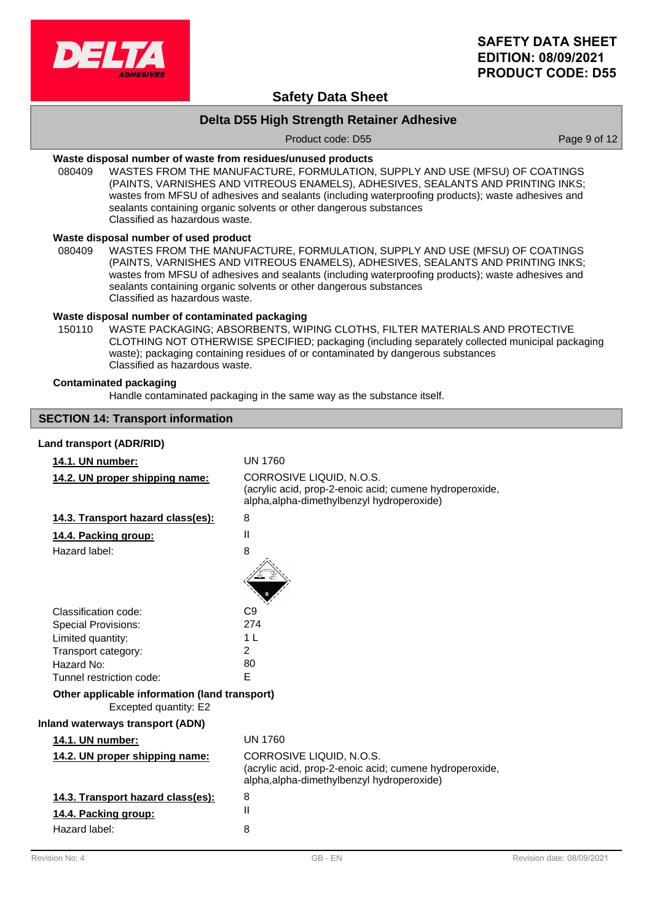

## **Safety Data Sheet**

## **Delta D55 High Strength Retainer Adhesive**

Product code: D55 Product code: D55

### **Waste disposal number of waste from residues/unused products**

080409 WASTES FROM THE MANUFACTURE, FORMULATION, SUPPLY AND USE (MFSU) OF COATINGS (PAINTS, VARNISHES AND VITREOUS ENAMELS), ADHESIVES, SEALANTS AND PRINTING INKS; wastes from MFSU of adhesives and sealants (including waterproofing products); waste adhesives and sealants containing organic solvents or other dangerous substances Classified as hazardous waste.

#### **Waste disposal number of used product**

WASTES FROM THE MANUFACTURE, FORMULATION, SUPPLY AND USE (MFSU) OF COATINGS (PAINTS, VARNISHES AND VITREOUS ENAMELS), ADHESIVES, SEALANTS AND PRINTING INKS; wastes from MFSU of adhesives and sealants (including waterproofing products); waste adhesives and sealants containing organic solvents or other dangerous substances Classified as hazardous waste. 080409

### **Waste disposal number of contaminated packaging**

WASTE PACKAGING; ABSORBENTS, WIPING CLOTHS, FILTER MATERIALS AND PROTECTIVE CLOTHING NOT OTHERWISE SPECIFIED; packaging (including separately collected municipal packaging waste); packaging containing residues of or contaminated by dangerous substances Classified as hazardous waste. 150110

### **Contaminated packaging**

Handle contaminated packaging in the same way as the substance itself.

### **SECTION 14: Transport information**

#### **Land transport (ADR/RID)**

# **14.1. UN number:** UN 1760

| 14.2. UN proper shipping name:                                         | CORROSIVE LIQUID, N.O.S.<br>(acrylic acid, prop-2-enoic acid; cumene hydroperoxide,<br>alpha, alpha-dimethylbenzyl hydroperoxide) |
|------------------------------------------------------------------------|-----------------------------------------------------------------------------------------------------------------------------------|
| 14.3. Transport hazard class(es):                                      | 8                                                                                                                                 |
| 14.4. Packing group:                                                   | $\mathbf{II}$                                                                                                                     |
| Hazard label:                                                          | 8                                                                                                                                 |
|                                                                        |                                                                                                                                   |
| Classification code:                                                   | C <sub>9</sub>                                                                                                                    |
| <b>Special Provisions:</b>                                             | 274                                                                                                                               |
| Limited quantity:                                                      | 1 <sub>L</sub>                                                                                                                    |
| Transport category:                                                    | 2                                                                                                                                 |
| Hazard No:                                                             | 80                                                                                                                                |
| Tunnel restriction code:                                               | E                                                                                                                                 |
| Other applicable information (land transport)<br>Excepted quantity: E2 |                                                                                                                                   |
| <b>Inland waterways transport (ADN)</b>                                |                                                                                                                                   |
| 14.1. UN number:                                                       | <b>UN 1760</b>                                                                                                                    |
| 14.2. UN proper shipping name:                                         | CORROSIVE LIQUID, N.O.S.<br>(acrylic acid, prop-2-enoic acid; cumene hydroperoxide,<br>alpha, alpha-dimethylbenzyl hydroperoxide) |
| 14.3. Transport hazard class(es):                                      | 8                                                                                                                                 |
| 14.4. Packing group:                                                   | Ш                                                                                                                                 |
| Hazard label:                                                          | 8                                                                                                                                 |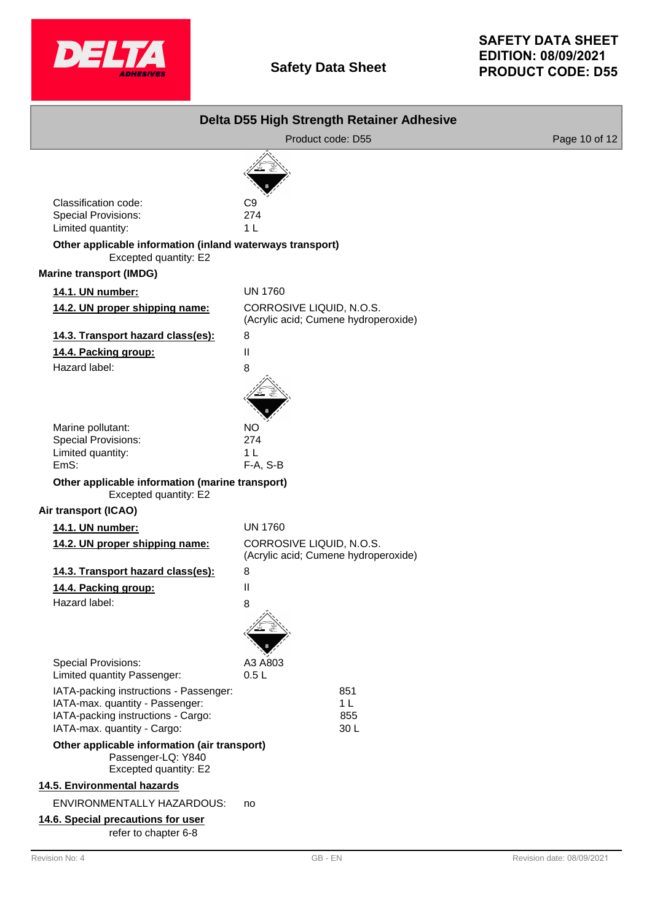

|                                                                                                                                                | Delta D55 High Strength Retainer Adhesive                        |               |
|------------------------------------------------------------------------------------------------------------------------------------------------|------------------------------------------------------------------|---------------|
|                                                                                                                                                | Product code: D55                                                | Page 10 of 12 |
|                                                                                                                                                |                                                                  |               |
| Classification code:<br>Special Provisions:<br>Limited quantity:                                                                               | C9<br>274<br>1 <sub>L</sub>                                      |               |
| Other applicable information (inland waterways transport)<br>Excepted quantity: E2                                                             |                                                                  |               |
| <b>Marine transport (IMDG)</b>                                                                                                                 |                                                                  |               |
| 14.1. UN number:                                                                                                                               | <b>UN 1760</b>                                                   |               |
| 14.2. UN proper shipping name:                                                                                                                 | CORROSIVE LIQUID, N.O.S.<br>(Acrylic acid; Cumene hydroperoxide) |               |
| 14.3. Transport hazard class(es):                                                                                                              | 8                                                                |               |
| 14.4. Packing group:                                                                                                                           | Ш                                                                |               |
| Hazard label:                                                                                                                                  | 8                                                                |               |
| Marine pollutant:<br><b>Special Provisions:</b><br>Limited quantity:<br>EmS:<br>Other applicable information (marine transport)                | NO<br>274<br>1 <sup>L</sup><br>F-A, S-B                          |               |
| Excepted quantity: E2                                                                                                                          |                                                                  |               |
| Air transport (ICAO)                                                                                                                           |                                                                  |               |
| 14.1. UN number:                                                                                                                               | <b>UN 1760</b>                                                   |               |
| 14.2. UN proper shipping name:                                                                                                                 | CORROSIVE LIQUID, N.O.S.<br>(Acrylic acid; Cumene hydroperoxide) |               |
| 14.3. Transport hazard class(es):                                                                                                              | 8                                                                |               |
| 14.4. Packing group:                                                                                                                           | Ш                                                                |               |
| Hazard label:                                                                                                                                  | 8                                                                |               |
| <b>Special Provisions:</b><br>Limited quantity Passenger:                                                                                      | A3 A803<br>0.5L                                                  |               |
| IATA-packing instructions - Passenger:<br>IATA-max. quantity - Passenger:<br>IATA-packing instructions - Cargo:<br>IATA-max. quantity - Cargo: | 851<br>1 <sub>L</sub><br>855<br>30L                              |               |
| Other applicable information (air transport)<br>Passenger-LQ: Y840<br>Excepted quantity: E2                                                    |                                                                  |               |
| 14.5. Environmental hazards                                                                                                                    |                                                                  |               |
| ENVIRONMENTALLY HAZARDOUS:                                                                                                                     | no                                                               |               |
| 14.6. Special precautions for user<br>refer to chapter 6-8                                                                                     |                                                                  |               |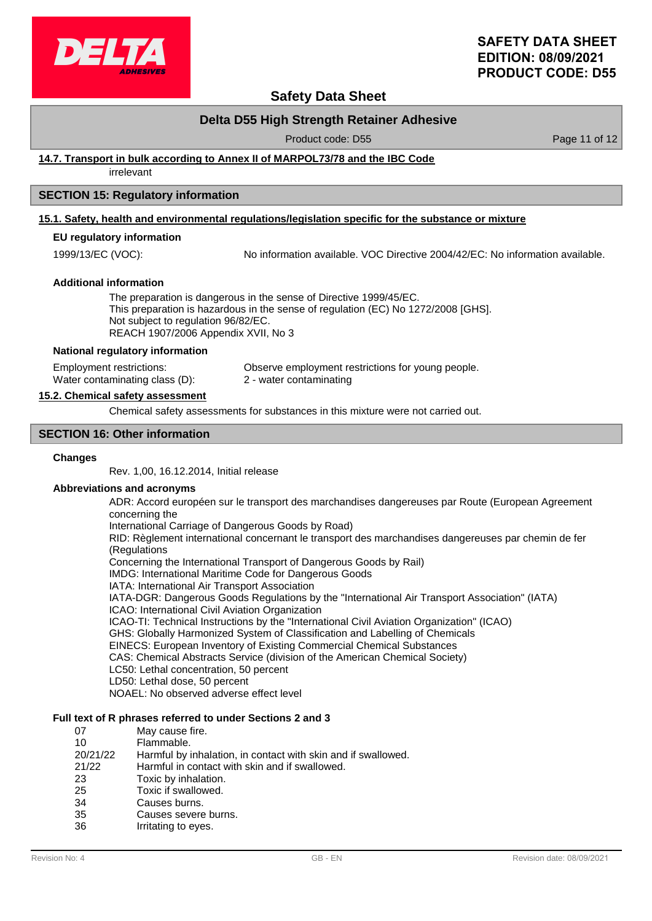

## **Safety Data Sheet**

## **Delta D55 High Strength Retainer Adhesive**

Product code: D55 Product code: D55

### **14.7. Transport in bulk according to Annex II of MARPOL73/78 and the IBC Code**

irrelevant

### **SECTION 15: Regulatory information**

#### **15.1. Safety, health and environmental regulations/legislation specific for the substance or mixture**

### **EU regulatory information**

1999/13/EC (VOC): No information available. VOC Directive 2004/42/EC: No information available.

#### **Additional information**

The preparation is dangerous in the sense of Directive 1999/45/EC. This preparation is hazardous in the sense of regulation (EC) No 1272/2008 [GHS]. Not subject to regulation 96/82/EC. REACH 1907/2006 Appendix XVII, No 3

#### **National regulatory information**

Employment restrictions: Observe employment restrictions for young people. Water contaminating class (D): 2 - water contaminating

#### **15.2. Chemical safety assessment**

Chemical safety assessments for substances in this mixture were not carried out.

#### **SECTION 16: Other information**

#### **Changes**

Rev. 1,00, 16.12.2014, Initial release

#### **Abbreviations and acronyms**

ADR: Accord européen sur le transport des marchandises dangereuses par Route (European Agreement concerning the

International Carriage of Dangerous Goods by Road)

RID: Règlement international concernant le transport des marchandises dangereuses par chemin de fer (Regulations

Concerning the International Transport of Dangerous Goods by Rail)

IMDG: International Maritime Code for Dangerous Goods

IATA: International Air Transport Association

IATA-DGR: Dangerous Goods Regulations by the "International Air Transport Association" (IATA)

ICAO: International Civil Aviation Organization

ICAO-TI: Technical Instructions by the "International Civil Aviation Organization" (ICAO)

GHS: Globally Harmonized System of Classification and Labelling of Chemicals

EINECS: European Inventory of Existing Commercial Chemical Substances

CAS: Chemical Abstracts Service (division of the American Chemical Society)

- LC50: Lethal concentration, 50 percent
- LD50: Lethal dose, 50 percent

NOAEL: No observed adverse effect level

### **Full text of R phrases referred to under Sections 2 and 3**

| 07       | May cause fire.                                               |
|----------|---------------------------------------------------------------|
| 10       | Flammable.                                                    |
| 20/21/22 | Harmful by inhalation, in contact with skin and if swallowed. |
| 21/22    | Harmful in contact with skin and if swallowed.                |
| 23       | Toxic by inhalation.                                          |
| 25       | Toxic if swallowed.                                           |
| 34       | Causes burns.                                                 |
| 35       | Causes severe burns.                                          |
| 36       | Irritating to eyes.                                           |